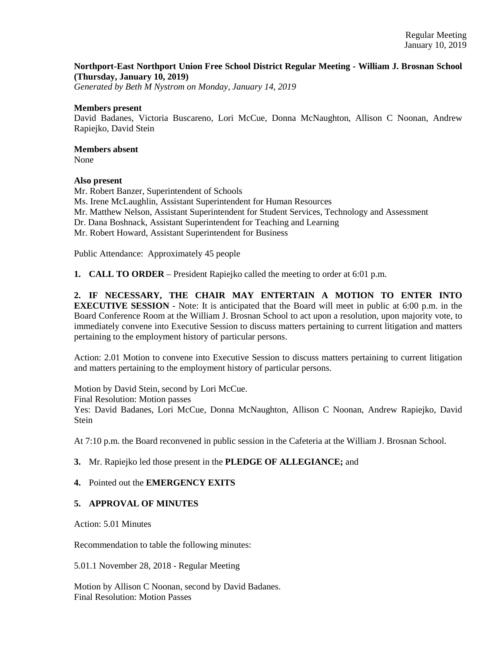### **Northport-East Northport Union Free School District Regular Meeting - William J. Brosnan School (Thursday, January 10, 2019)**

*Generated by Beth M Nystrom on Monday, January 14, 2019*

#### **Members present**

David Badanes, Victoria Buscareno, Lori McCue, Donna McNaughton, Allison C Noonan, Andrew Rapiejko, David Stein

## **Members absent**

None

#### **Also present**

Mr. Robert Banzer, Superintendent of Schools Ms. Irene McLaughlin, Assistant Superintendent for Human Resources Mr. Matthew Nelson, Assistant Superintendent for Student Services, Technology and Assessment Dr. Dana Boshnack, Assistant Superintendent for Teaching and Learning Mr. Robert Howard, Assistant Superintendent for Business

Public Attendance: Approximately 45 people

**1. CALL TO ORDER** – President Rapiejko called the meeting to order at 6:01 p.m.

**2. IF NECESSARY, THE CHAIR MAY ENTERTAIN A MOTION TO ENTER INTO EXECUTIVE SESSION** - Note: It is anticipated that the Board will meet in public at 6:00 p.m. in the Board Conference Room at the William J. Brosnan School to act upon a resolution, upon majority vote, to immediately convene into Executive Session to discuss matters pertaining to current litigation and matters pertaining to the employment history of particular persons.

Action: 2.01 Motion to convene into Executive Session to discuss matters pertaining to current litigation and matters pertaining to the employment history of particular persons.

Motion by David Stein, second by Lori McCue.

Final Resolution: Motion passes

Yes: David Badanes, Lori McCue, Donna McNaughton, Allison C Noonan, Andrew Rapiejko, David **Stein** 

At 7:10 p.m. the Board reconvened in public session in the Cafeteria at the William J. Brosnan School.

### **3.** Mr. Rapiejko led those present in the **PLEDGE OF ALLEGIANCE;** and

### **4.** Pointed out the **EMERGENCY EXITS**

### **5. APPROVAL OF MINUTES**

Action: 5.01 Minutes

Recommendation to table the following minutes:

5.01.1 November 28, 2018 - Regular Meeting

Motion by Allison C Noonan, second by David Badanes. Final Resolution: Motion Passes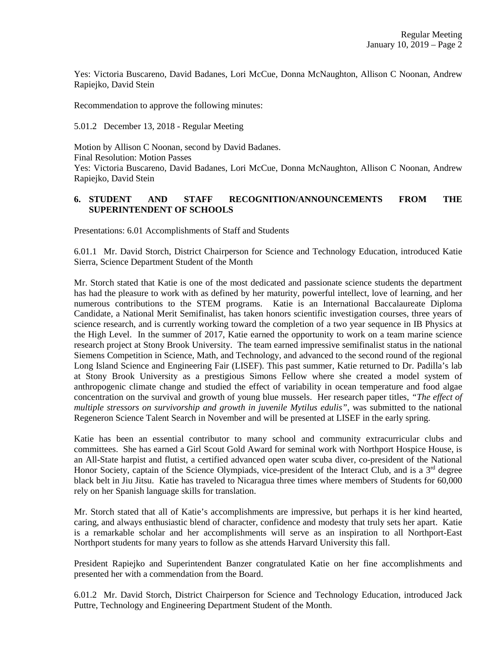Yes: Victoria Buscareno, David Badanes, Lori McCue, Donna McNaughton, Allison C Noonan, Andrew Rapiejko, David Stein

Recommendation to approve the following minutes:

5.01.2 December 13, 2018 - Regular Meeting

Motion by Allison C Noonan, second by David Badanes. Final Resolution: Motion Passes Yes: Victoria Buscareno, David Badanes, Lori McCue, Donna McNaughton, Allison C Noonan, Andrew Rapiejko, David Stein

## **6. STUDENT AND STAFF RECOGNITION/ANNOUNCEMENTS FROM THE SUPERINTENDENT OF SCHOOLS**

Presentations: 6.01 Accomplishments of Staff and Students

6.01.1 Mr. David Storch, District Chairperson for Science and Technology Education, introduced Katie Sierra, Science Department Student of the Month

Mr. Storch stated that Katie is one of the most dedicated and passionate science students the department has had the pleasure to work with as defined by her maturity, powerful intellect, love of learning, and her numerous contributions to the STEM programs. Katie is an International Baccalaureate Diploma Candidate, a National Merit Semifinalist, has taken honors scientific investigation courses, three years of science research, and is currently working toward the completion of a two year sequence in IB Physics at the High Level. In the summer of 2017, Katie earned the opportunity to work on a team marine science research project at Stony Brook University. The team earned impressive semifinalist status in the national Siemens Competition in Science, Math, and Technology, and advanced to the second round of the regional Long Island Science and Engineering Fair (LISEF). This past summer, Katie returned to Dr. Padilla's lab at Stony Brook University as a prestigious Simons Fellow where she created a model system of anthropogenic climate change and studied the effect of variability in ocean temperature and food algae concentration on the survival and growth of young blue mussels. Her research paper titles, *"The effect of multiple stressors on survivorship and growth in juvenile Mytilus edulis"*, was submitted to the national Regeneron Science Talent Search in November and will be presented at LISEF in the early spring.

Katie has been an essential contributor to many school and community extracurricular clubs and committees. She has earned a Girl Scout Gold Award for seminal work with Northport Hospice House, is an All-State harpist and flutist, a certified advanced open water scuba diver, co-president of the National Honor Society, captain of the Science Olympiads, vice-president of the Interact Club, and is a 3<sup>rd</sup> degree black belt in Jiu Jitsu. Katie has traveled to Nicaragua three times where members of Students for 60,000 rely on her Spanish language skills for translation.

Mr. Storch stated that all of Katie's accomplishments are impressive, but perhaps it is her kind hearted, caring, and always enthusiastic blend of character, confidence and modesty that truly sets her apart. Katie is a remarkable scholar and her accomplishments will serve as an inspiration to all Northport-East Northport students for many years to follow as she attends Harvard University this fall.

President Rapiejko and Superintendent Banzer congratulated Katie on her fine accomplishments and presented her with a commendation from the Board.

6.01.2 Mr. David Storch, District Chairperson for Science and Technology Education, introduced Jack Puttre, Technology and Engineering Department Student of the Month.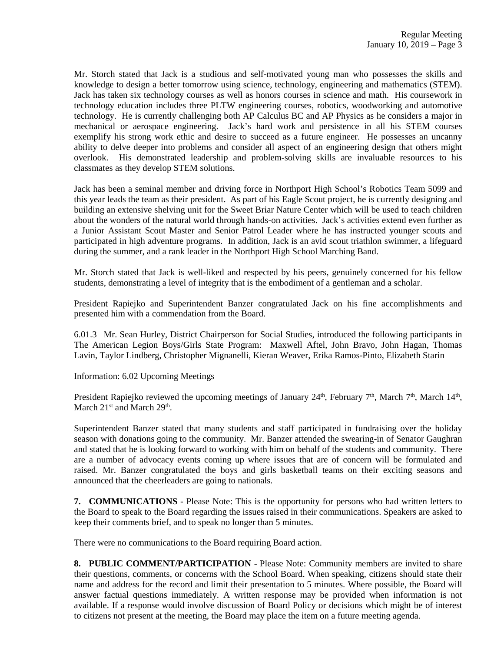Mr. Storch stated that Jack is a studious and self-motivated young man who possesses the skills and knowledge to design a better tomorrow using science, technology, engineering and mathematics (STEM). Jack has taken six technology courses as well as honors courses in science and math. His coursework in technology education includes three PLTW engineering courses, robotics, woodworking and automotive technology. He is currently challenging both AP Calculus BC and AP Physics as he considers a major in mechanical or aerospace engineering. Jack's hard work and persistence in all his STEM courses exemplify his strong work ethic and desire to succeed as a future engineer. He possesses an uncanny ability to delve deeper into problems and consider all aspect of an engineering design that others might overlook. His demonstrated leadership and problem-solving skills are invaluable resources to his classmates as they develop STEM solutions.

Jack has been a seminal member and driving force in Northport High School's Robotics Team 5099 and this year leads the team as their president. As part of his Eagle Scout project, he is currently designing and building an extensive shelving unit for the Sweet Briar Nature Center which will be used to teach children about the wonders of the natural world through hands-on activities. Jack's activities extend even further as a Junior Assistant Scout Master and Senior Patrol Leader where he has instructed younger scouts and participated in high adventure programs. In addition, Jack is an avid scout triathlon swimmer, a lifeguard during the summer, and a rank leader in the Northport High School Marching Band.

Mr. Storch stated that Jack is well-liked and respected by his peers, genuinely concerned for his fellow students, demonstrating a level of integrity that is the embodiment of a gentleman and a scholar.

President Rapiejko and Superintendent Banzer congratulated Jack on his fine accomplishments and presented him with a commendation from the Board.

6.01.3 Mr. Sean Hurley, District Chairperson for Social Studies, introduced the following participants in The American Legion Boys/Girls State Program: Maxwell Aftel, John Bravo, John Hagan, Thomas Lavin, Taylor Lindberg, Christopher Mignanelli, Kieran Weaver, Erika Ramos-Pinto, Elizabeth Starin

Information: 6.02 Upcoming Meetings

President Rapiejko reviewed the upcoming meetings of January 24<sup>th</sup>, February 7<sup>th</sup>, March 7<sup>th</sup>, March 14<sup>th</sup>, March 21<sup>st</sup> and March 29<sup>th</sup>.

Superintendent Banzer stated that many students and staff participated in fundraising over the holiday season with donations going to the community. Mr. Banzer attended the swearing-in of Senator Gaughran and stated that he is looking forward to working with him on behalf of the students and community. There are a number of advocacy events coming up where issues that are of concern will be formulated and raised. Mr. Banzer congratulated the boys and girls basketball teams on their exciting seasons and announced that the cheerleaders are going to nationals.

**7. COMMUNICATIONS** - Please Note: This is the opportunity for persons who had written letters to the Board to speak to the Board regarding the issues raised in their communications. Speakers are asked to keep their comments brief, and to speak no longer than 5 minutes.

There were no communications to the Board requiring Board action.

**8. PUBLIC COMMENT/PARTICIPATION** - Please Note: Community members are invited to share their questions, comments, or concerns with the School Board. When speaking, citizens should state their name and address for the record and limit their presentation to 5 minutes. Where possible, the Board will answer factual questions immediately. A written response may be provided when information is not available. If a response would involve discussion of Board Policy or decisions which might be of interest to citizens not present at the meeting, the Board may place the item on a future meeting agenda.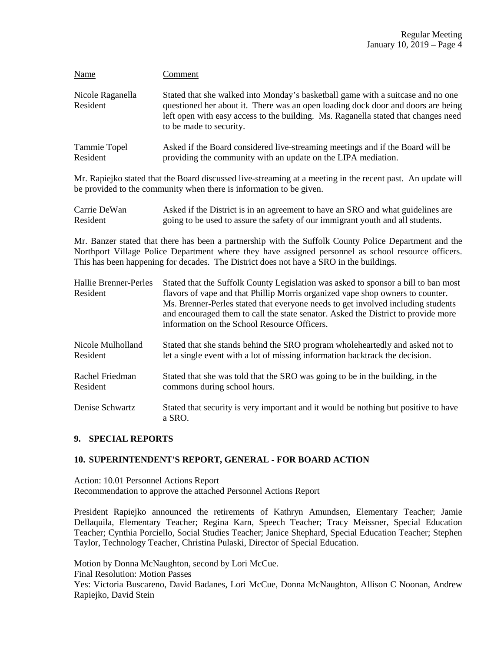| Name                         | Comment                                                                                                                                                                                                                                                                              |
|------------------------------|--------------------------------------------------------------------------------------------------------------------------------------------------------------------------------------------------------------------------------------------------------------------------------------|
| Nicole Raganella<br>Resident | Stated that she walked into Monday's basketball game with a suitcase and no one<br>questioned her about it. There was an open loading dock door and doors are being<br>left open with easy access to the building. Ms. Raganella stated that changes need<br>to be made to security. |
| Tammie Topel<br>Resident     | Asked if the Board considered live-streaming meetings and if the Board will be<br>providing the community with an update on the LIPA mediation.                                                                                                                                      |

Mr. Rapiejko stated that the Board discussed live-streaming at a meeting in the recent past. An update will be provided to the community when there is information to be given.

| Carrie DeWan | Asked if the District is in an agreement to have an SRO and what guidelines are |
|--------------|---------------------------------------------------------------------------------|
| Resident     | going to be used to assure the safety of our immigrant youth and all students.  |

Mr. Banzer stated that there has been a partnership with the Suffolk County Police Department and the Northport Village Police Department where they have assigned personnel as school resource officers. This has been happening for decades. The District does not have a SRO in the buildings.

| Hallie Brenner-Perles<br>Resident | Stated that the Suffolk County Legislation was asked to sponsor a bill to ban most<br>flavors of vape and that Phillip Morris organized vape shop owners to counter.<br>Ms. Brenner-Perles stated that everyone needs to get involved including students<br>and encouraged them to call the state senator. Asked the District to provide more<br>information on the School Resource Officers. |
|-----------------------------------|-----------------------------------------------------------------------------------------------------------------------------------------------------------------------------------------------------------------------------------------------------------------------------------------------------------------------------------------------------------------------------------------------|
| Nicole Mulholland                 | Stated that she stands behind the SRO program whole heartedly and asked not to                                                                                                                                                                                                                                                                                                                |
| Resident                          | let a single event with a lot of missing information backtrack the decision.                                                                                                                                                                                                                                                                                                                  |
| Rachel Friedman                   | Stated that she was told that the SRO was going to be in the building, in the                                                                                                                                                                                                                                                                                                                 |
| Resident                          | commons during school hours.                                                                                                                                                                                                                                                                                                                                                                  |
| Denise Schwartz                   | Stated that security is very important and it would be nothing but positive to have<br>a SRO.                                                                                                                                                                                                                                                                                                 |

### **9. SPECIAL REPORTS**

### **10. SUPERINTENDENT'S REPORT, GENERAL - FOR BOARD ACTION**

Action: 10.01 Personnel Actions Report Recommendation to approve the attached Personnel Actions Report

President Rapiejko announced the retirements of Kathryn Amundsen, Elementary Teacher; Jamie Dellaquila, Elementary Teacher; Regina Karn, Speech Teacher; Tracy Meissner, Special Education Teacher; Cynthia Porciello, Social Studies Teacher; Janice Shephard, Special Education Teacher; Stephen Taylor, Technology Teacher, Christina Pulaski, Director of Special Education.

Motion by Donna McNaughton, second by Lori McCue. Final Resolution: Motion Passes Yes: Victoria Buscareno, David Badanes, Lori McCue, Donna McNaughton, Allison C Noonan, Andrew Rapiejko, David Stein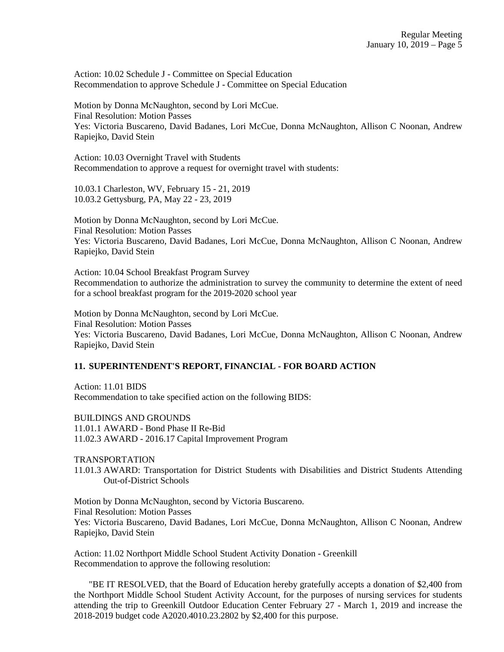Action: 10.02 Schedule J - Committee on Special Education Recommendation to approve Schedule J - Committee on Special Education

Motion by Donna McNaughton, second by Lori McCue. Final Resolution: Motion Passes Yes: Victoria Buscareno, David Badanes, Lori McCue, Donna McNaughton, Allison C Noonan, Andrew Rapiejko, David Stein

Action: 10.03 Overnight Travel with Students Recommendation to approve a request for overnight travel with students:

10.03.1 Charleston, WV, February 15 - 21, 2019 10.03.2 Gettysburg, PA, May 22 - 23, 2019

Motion by Donna McNaughton, second by Lori McCue. Final Resolution: Motion Passes Yes: Victoria Buscareno, David Badanes, Lori McCue, Donna McNaughton, Allison C Noonan, Andrew Rapiejko, David Stein

Action: 10.04 School Breakfast Program Survey Recommendation to authorize the administration to survey the community to determine the extent of need for a school breakfast program for the 2019-2020 school year

Motion by Donna McNaughton, second by Lori McCue. Final Resolution: Motion Passes Yes: Victoria Buscareno, David Badanes, Lori McCue, Donna McNaughton, Allison C Noonan, Andrew Rapiejko, David Stein

### **11. SUPERINTENDENT'S REPORT, FINANCIAL - FOR BOARD ACTION**

Action: 11.01 BIDS Recommendation to take specified action on the following BIDS:

BUILDINGS AND GROUNDS 11.01.1 AWARD - Bond Phase II Re-Bid 11.02.3 AWARD - 2016.17 Capital Improvement Program

TRANSPORTATION

11.01.3 AWARD: Transportation for District Students with Disabilities and District Students Attending Out-of-District Schools

Motion by Donna McNaughton, second by Victoria Buscareno. Final Resolution: Motion Passes Yes: Victoria Buscareno, David Badanes, Lori McCue, Donna McNaughton, Allison C Noonan, Andrew Rapiejko, David Stein

Action: 11.02 Northport Middle School Student Activity Donation - Greenkill Recommendation to approve the following resolution:

 "BE IT RESOLVED, that the Board of Education hereby gratefully accepts a donation of \$2,400 from the Northport Middle School Student Activity Account, for the purposes of nursing services for students attending the trip to Greenkill Outdoor Education Center February 27 - March 1, 2019 and increase the 2018-2019 budget code A2020.4010.23.2802 by \$2,400 for this purpose.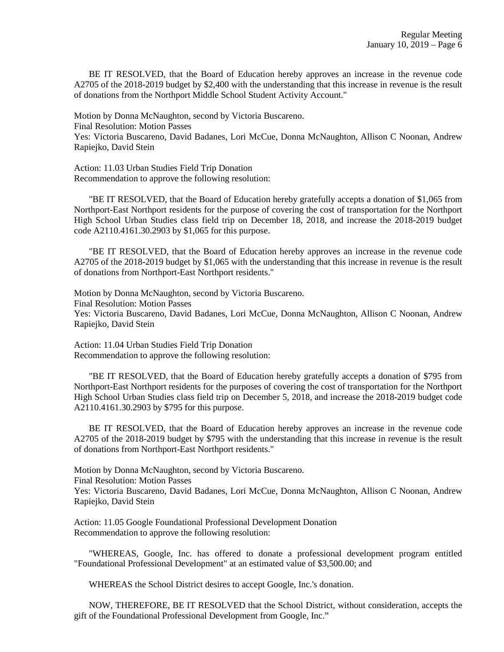BE IT RESOLVED, that the Board of Education hereby approves an increase in the revenue code A2705 of the 2018-2019 budget by \$2,400 with the understanding that this increase in revenue is the result of donations from the Northport Middle School Student Activity Account."

Motion by Donna McNaughton, second by Victoria Buscareno. Final Resolution: Motion Passes Yes: Victoria Buscareno, David Badanes, Lori McCue, Donna McNaughton, Allison C Noonan, Andrew Rapiejko, David Stein

Action: 11.03 Urban Studies Field Trip Donation Recommendation to approve the following resolution:

 "BE IT RESOLVED, that the Board of Education hereby gratefully accepts a donation of \$1,065 from Northport-East Northport residents for the purpose of covering the cost of transportation for the Northport High School Urban Studies class field trip on December 18, 2018, and increase the 2018-2019 budget code A2110.4161.30.2903 by \$1,065 for this purpose.

 "BE IT RESOLVED, that the Board of Education hereby approves an increase in the revenue code A2705 of the 2018-2019 budget by \$1,065 with the understanding that this increase in revenue is the result of donations from Northport-East Northport residents."

Motion by Donna McNaughton, second by Victoria Buscareno. Final Resolution: Motion Passes Yes: Victoria Buscareno, David Badanes, Lori McCue, Donna McNaughton, Allison C Noonan, Andrew Rapiejko, David Stein

Action: 11.04 Urban Studies Field Trip Donation Recommendation to approve the following resolution:

 "BE IT RESOLVED, that the Board of Education hereby gratefully accepts a donation of \$795 from Northport-East Northport residents for the purposes of covering the cost of transportation for the Northport High School Urban Studies class field trip on December 5, 2018, and increase the 2018-2019 budget code A2110.4161.30.2903 by \$795 for this purpose.

 BE IT RESOLVED, that the Board of Education hereby approves an increase in the revenue code A2705 of the 2018-2019 budget by \$795 with the understanding that this increase in revenue is the result of donations from Northport-East Northport residents."

Motion by Donna McNaughton, second by Victoria Buscareno.

Final Resolution: Motion Passes

Yes: Victoria Buscareno, David Badanes, Lori McCue, Donna McNaughton, Allison C Noonan, Andrew Rapiejko, David Stein

Action: 11.05 Google Foundational Professional Development Donation Recommendation to approve the following resolution:

 "WHEREAS, Google, Inc. has offered to donate a professional development program entitled "Foundational Professional Development" at an estimated value of \$3,500.00; and

WHEREAS the School District desires to accept Google, Inc.'s donation.

 NOW, THEREFORE, BE IT RESOLVED that the School District, without consideration, accepts the gift of the Foundational Professional Development from Google, Inc."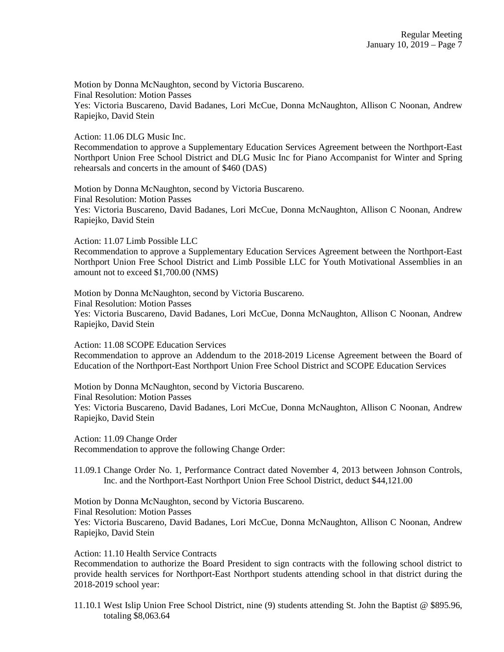Motion by Donna McNaughton, second by Victoria Buscareno. Final Resolution: Motion Passes Yes: Victoria Buscareno, David Badanes, Lori McCue, Donna McNaughton, Allison C Noonan, Andrew Rapiejko, David Stein

Action: 11.06 DLG Music Inc.

Recommendation to approve a Supplementary Education Services Agreement between the Northport-East Northport Union Free School District and DLG Music Inc for Piano Accompanist for Winter and Spring rehearsals and concerts in the amount of \$460 (DAS)

Motion by Donna McNaughton, second by Victoria Buscareno. Final Resolution: Motion Passes Yes: Victoria Buscareno, David Badanes, Lori McCue, Donna McNaughton, Allison C Noonan, Andrew Rapiejko, David Stein

Action: 11.07 Limb Possible LLC

Recommendation to approve a Supplementary Education Services Agreement between the Northport-East Northport Union Free School District and Limb Possible LLC for Youth Motivational Assemblies in an amount not to exceed \$1,700.00 (NMS)

Motion by Donna McNaughton, second by Victoria Buscareno. Final Resolution: Motion Passes Yes: Victoria Buscareno, David Badanes, Lori McCue, Donna McNaughton, Allison C Noonan, Andrew Rapiejko, David Stein

Action: 11.08 SCOPE Education Services Recommendation to approve an Addendum to the 2018-2019 License Agreement between the Board of Education of the Northport-East Northport Union Free School District and SCOPE Education Services

Motion by Donna McNaughton, second by Victoria Buscareno. Final Resolution: Motion Passes Yes: Victoria Buscareno, David Badanes, Lori McCue, Donna McNaughton, Allison C Noonan, Andrew Rapiejko, David Stein

Action: 11.09 Change Order Recommendation to approve the following Change Order:

11.09.1 Change Order No. 1, Performance Contract dated November 4, 2013 between Johnson Controls, Inc. and the Northport-East Northport Union Free School District, deduct \$44,121.00

Motion by Donna McNaughton, second by Victoria Buscareno. Final Resolution: Motion Passes Yes: Victoria Buscareno, David Badanes, Lori McCue, Donna McNaughton, Allison C Noonan, Andrew Rapiejko, David Stein

Action: 11.10 Health Service Contracts

Recommendation to authorize the Board President to sign contracts with the following school district to provide health services for Northport-East Northport students attending school in that district during the 2018-2019 school year:

11.10.1 West Islip Union Free School District, nine (9) students attending St. John the Baptist @ \$895.96, totaling \$8,063.64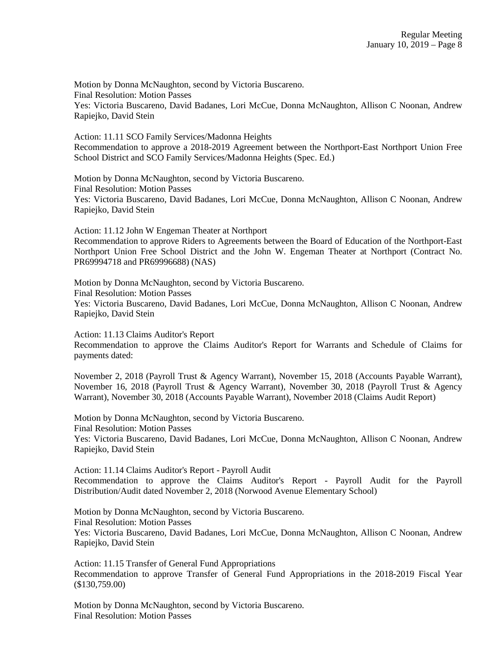Motion by Donna McNaughton, second by Victoria Buscareno. Final Resolution: Motion Passes Yes: Victoria Buscareno, David Badanes, Lori McCue, Donna McNaughton, Allison C Noonan, Andrew Rapiejko, David Stein

Action: 11.11 SCO Family Services/Madonna Heights Recommendation to approve a 2018-2019 Agreement between the Northport-East Northport Union Free School District and SCO Family Services/Madonna Heights (Spec. Ed.)

Motion by Donna McNaughton, second by Victoria Buscareno. Final Resolution: Motion Passes Yes: Victoria Buscareno, David Badanes, Lori McCue, Donna McNaughton, Allison C Noonan, Andrew Rapiejko, David Stein

Action: 11.12 John W Engeman Theater at Northport Recommendation to approve Riders to Agreements between the Board of Education of the Northport-East Northport Union Free School District and the John W. Engeman Theater at Northport (Contract No. PR69994718 and PR69996688) (NAS)

Motion by Donna McNaughton, second by Victoria Buscareno. Final Resolution: Motion Passes Yes: Victoria Buscareno, David Badanes, Lori McCue, Donna McNaughton, Allison C Noonan, Andrew Rapiejko, David Stein

Action: 11.13 Claims Auditor's Report Recommendation to approve the Claims Auditor's Report for Warrants and Schedule of Claims for payments dated:

November 2, 2018 (Payroll Trust & Agency Warrant), November 15, 2018 (Accounts Payable Warrant), November 16, 2018 (Payroll Trust & Agency Warrant), November 30, 2018 (Payroll Trust & Agency Warrant), November 30, 2018 (Accounts Payable Warrant), November 2018 (Claims Audit Report)

Motion by Donna McNaughton, second by Victoria Buscareno. Final Resolution: Motion Passes Yes: Victoria Buscareno, David Badanes, Lori McCue, Donna McNaughton, Allison C Noonan, Andrew Rapiejko, David Stein

Action: 11.14 Claims Auditor's Report - Payroll Audit Recommendation to approve the Claims Auditor's Report - Payroll Audit for the Payroll Distribution/Audit dated November 2, 2018 (Norwood Avenue Elementary School)

Motion by Donna McNaughton, second by Victoria Buscareno. Final Resolution: Motion Passes Yes: Victoria Buscareno, David Badanes, Lori McCue, Donna McNaughton, Allison C Noonan, Andrew Rapiejko, David Stein

Action: 11.15 Transfer of General Fund Appropriations Recommendation to approve Transfer of General Fund Appropriations in the 2018-2019 Fiscal Year (\$130,759.00)

Motion by Donna McNaughton, second by Victoria Buscareno. Final Resolution: Motion Passes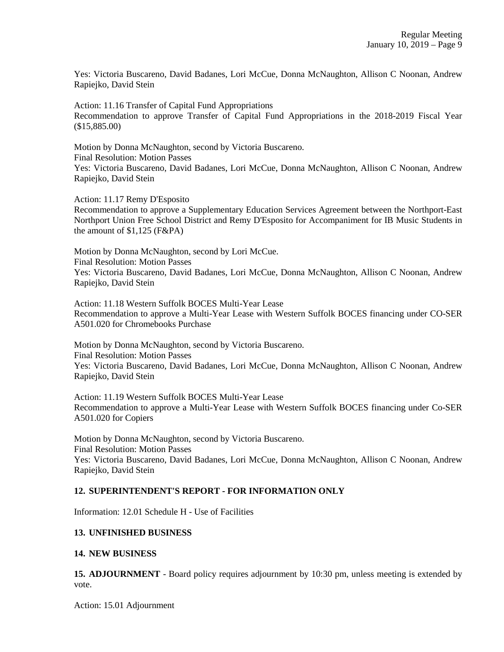Yes: Victoria Buscareno, David Badanes, Lori McCue, Donna McNaughton, Allison C Noonan, Andrew Rapiejko, David Stein

Action: 11.16 Transfer of Capital Fund Appropriations Recommendation to approve Transfer of Capital Fund Appropriations in the 2018-2019 Fiscal Year (\$15,885.00)

Motion by Donna McNaughton, second by Victoria Buscareno. Final Resolution: Motion Passes Yes: Victoria Buscareno, David Badanes, Lori McCue, Donna McNaughton, Allison C Noonan, Andrew Rapiejko, David Stein

Action: 11.17 Remy D'Esposito Recommendation to approve a Supplementary Education Services Agreement between the Northport-East Northport Union Free School District and Remy D'Esposito for Accompaniment for IB Music Students in the amount of \$1,125 (F&PA)

Motion by Donna McNaughton, second by Lori McCue. Final Resolution: Motion Passes Yes: Victoria Buscareno, David Badanes, Lori McCue, Donna McNaughton, Allison C Noonan, Andrew Rapiejko, David Stein

Action: 11.18 Western Suffolk BOCES Multi-Year Lease Recommendation to approve a Multi-Year Lease with Western Suffolk BOCES financing under CO-SER A501.020 for Chromebooks Purchase

Motion by Donna McNaughton, second by Victoria Buscareno. Final Resolution: Motion Passes Yes: Victoria Buscareno, David Badanes, Lori McCue, Donna McNaughton, Allison C Noonan, Andrew Rapiejko, David Stein

Action: 11.19 Western Suffolk BOCES Multi-Year Lease Recommendation to approve a Multi-Year Lease with Western Suffolk BOCES financing under Co-SER A501.020 for Copiers

Motion by Donna McNaughton, second by Victoria Buscareno. Final Resolution: Motion Passes Yes: Victoria Buscareno, David Badanes, Lori McCue, Donna McNaughton, Allison C Noonan, Andrew Rapiejko, David Stein

# **12. SUPERINTENDENT'S REPORT - FOR INFORMATION ONLY**

Information: 12.01 Schedule H - Use of Facilities

### **13. UNFINISHED BUSINESS**

#### **14. NEW BUSINESS**

**15. ADJOURNMENT** - Board policy requires adjournment by 10:30 pm, unless meeting is extended by vote.

Action: 15.01 Adjournment